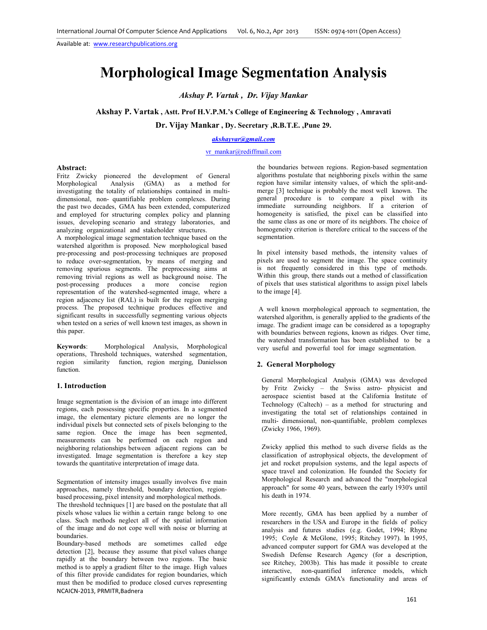# *Akshay P. Vartak , Dr. Vijay Mankar*

# **Akshay P. Vartak , Astt. Prof H.V.P.M.'s College of Engineering & Technology , Amravati**

**Dr. Vijay Mankar , Dy. Secretary ,R.B.T.E. ,Pune 29.** 

# *akshayvar@gmail.com*

vr\_mankar@rediffmail.com

## **Abstract:**

Fritz Zwicky pioneered the development of General Morphological Analysis (GMA) as a method for Analysis (GMA) as a method for investigating the totality of relationships contained in multidimensional, non- quantifiable problem complexes. During the past two decades, GMA has been extended, computerized and employed for structuring complex policy and planning issues, developing scenario and strategy laboratories, and analyzing organizational and stakeholder structures.

A morphological image segmentation technique based on the watershed algorithm is proposed. New morphological based pre-processing and post-processing techniques are proposed to reduce over-segmentation, by means of merging and removing spurious segments. The preprocessing aims at removing trivial regions as well as background noise. The post-processing produces a more concise region representation of the watershed-segmented image, where a region adjacency list (RAL) is built for the region merging process. The proposed technique produces effective and significant results in successfully segmenting various objects when tested on a series of well known test images, as shown in this paper.

**Keywords**: Morphological Analysis, Morphological operations, Threshold techniques, watershed segmentation, region similarity function, region merging, Danielsson function.

## **1. Introduction**

Image segmentation is the division of an image into different regions, each possessing specific properties. In a segmented image, the elementary picture elements are no longer the individual pixels but connected sets of pixels belonging to the same region. Once the image has been segmented, measurements can be performed on each region and neighboring relationships between adjacent regions can be investigated. Image segmentation is therefore a key step towards the quantitative interpretation of image data.

Segmentation of intensity images usually involves five main approaches, namely threshold, boundary detection, regionbased processing, pixel intensity and morphological methods.

The threshold techniques [1] are based on the postulate that all pixels whose values lie within a certain range belong to one class. Such methods neglect all of the spatial information of the image and do not cope well with noise or blurring at boundaries.

NCAICN-2013, PRMITR,Badnera Boundary-based methods are sometimes called edge detection [2], because they assume that pixel values change rapidly at the boundary between two regions. The basic method is to apply a gradient filter to the image. High values of this filter provide candidates for region boundaries, which must then be modified to produce closed curves representing

the boundaries between regions. Region-based segmentation algorithms postulate that neighboring pixels within the same region have similar intensity values, of which the split-andmerge [3] technique is probably the most well known. The general procedure is to compare a pixel with its immediate surrounding neighbors. If a criterion of homogeneity is satisfied, the pixel can be classified into the same class as one or more of its neighbors. The choice of homogeneity criterion is therefore critical to the success of the segmentation.

In pixel intensity based methods, the intensity values of pixels are used to segment the image. The space continuity is not frequently considered in this type of methods. Within this group, there stands out a method of classification of pixels that uses statistical algorithms to assign pixel labels to the image [4].

 A well known morphological approach to segmentation, the watershed algorithm, is generally applied to the gradients of the image. The gradient image can be considered as a topography with boundaries between regions, known as ridges. Over time, the watershed transformation has been established to be a very useful and powerful tool for image segmentation.

## **2. General Morphology**

General Morphological Analysis (GMA) was developed by Fritz Zwicky – the Swiss astro- physicist and aerospace scientist based at the California Institute of Technology (Caltech) – as a method for structuring and investigating the total set of relationships contained in multi- dimensional, non-quantifiable, problem complexes (Zwicky 1966, 1969).

Zwicky applied this method to such diverse fields as the classification of astrophysical objects, the development of jet and rocket propulsion systems, and the legal aspects of space travel and colonization. He founded the Society for Morphological Research and advanced the "morphological approach" for some 40 years, between the early 1930's until his death in 1974.

More recently, GMA has been applied by a number of researchers in the USA and Europe in the fields of policy analysis and futures studies (e.g. Godet, 1994; Rhyne 1995; Coyle & McGlone, 1995; Ritchey 1997). In 1995, advanced computer support for GMA was developed at the Swedish Defense Research Agency (for a description, see Ritchey, 2003b). This has made it possible to create interactive, non-quantified inference models, which significantly extends GMA's functionality and areas of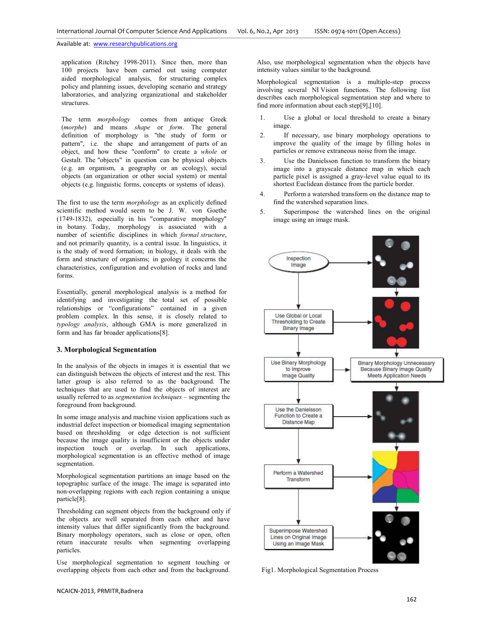application (Ritchey 1998-2011). Since then, more than 100 projects have been carried out using computer aided morphological analysis, for structuring complex policy and planning issues, developing scenario and strategy laboratories, and analyzing organizational and stakeholder structures.

The term *morphology* comes from antique Greek (*morphe*) and means *shape* or *form*. The general definition of morphology is "the study of form or pattern", i.e. the shape and arrangement of parts of an object, and how these "conform" to create a *whole* or Gestalt. The "objects" in question can be physical objects (e.g. an organism, a geography or an ecology), social objects (an organization or other social system) or mental objects (e.g. linguistic forms, concepts or systems of ideas).

The first to use the term *morphology* as an explicitly defined scientific method would seem to be J. W. von Goethe (1749-1832), especially in his "comparative morphology" in botany. Today, morphology is associated with a number of scientific disciplines in which *formal structure*, and not primarily quantity, is a central issue. In linguistics, it is the study of word formation; in biology, it deals with the form and structure of organisms; in geology it concerns the characteristics, configuration and evolution of rocks and land forms.

Essentially, general morphological analysis is a method for identifying and investigating the total set of possible relationships or "configurations" contained in a given problem complex. In this sense, it is closely related to *typology analysis*, although GMA is more generalized in form and has far broader applications[8].

## **3. Morphological Segmentation**

In the analysis of the objects in images it is essential that we can distinguish between the objects of interest and the rest. This latter group is also referred to as the background. The techniques that are used to find the objects of interest are usually referred to as *segmentation techniques* – segmenting the foreground from background.

In some image analysis and machine vision applications such as industrial defect inspection or biomedical imaging segmentation based on thresholding or edge detection is not sufficient because the image quality is insufficient or the objects under inspection touch or overlap. In such applications, morphological segmentation is an effective method of image segmentation.

Morphological segmentation partitions an image based on the topographic surface of the image. The image is separated into non-overlapping regions with each region containing a unique particle[8].

Thresholding can segment objects from the background only if the objects are well separated from each other and have intensity values that differ significantly from the background. Binary morphology operators, such as close or open, often return inaccurate results when segmenting overlapping particles.

Use morphological segmentation to segment touching or overlapping objects from each other and from the background. Also, use morphological segmentation when the objects have intensity values similar to the background.

Morphological segmentation is a multiple-step process involving several NI Vision functions. The following list describes each morphological segmentation step and where to find more information about each step[9],[10].

- 1. Use a global or local threshold to create a binary image.
- 2. If necessary, use binary morphology operations to improve the quality of the image by filling holes in particles or remove extraneous noise from the image.
- 3. Use the Danielsson function to transform the binary image into a grayscale distance map in which each particle pixel is assigned a gray-level value equal to its shortest Euclidean distance from the particle border.
- 4. Perform a watershed transform on the distance map to find the watershed separation lines.
- 5. Superimpose the watershed lines on the original image using an image mask.



Fig1. Morphological Segmentation Process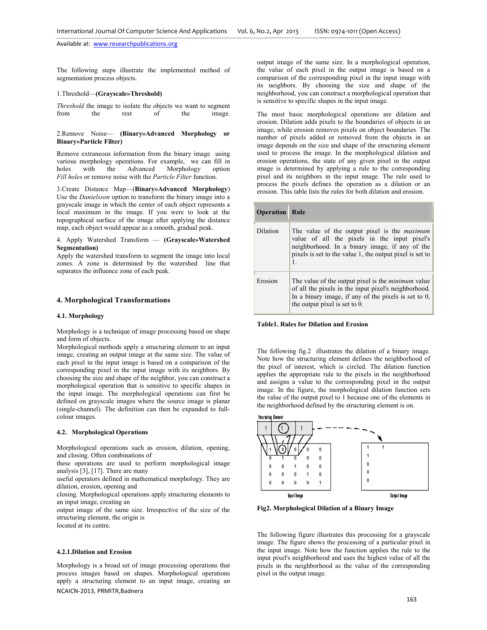The following steps illustrate the implemented method of segmentation process objects.

#### 1.Threshold—**(Grayscale»Threshold)**

*Threshold* the image to isolate the objects we want to segment from the rest of the image.

#### 2.Remove Noise— **(Binary»Advanced Morphology or Binary»Particle Filter)**

Remove extraneous information from the binary image using various morphology operations. For example, we can fill in holes with the Advanced Morphology option *Fill holes* or remove noise with the *Particle Filter* function.

3.Create Distance Map—(**Binary»Advanced Morphology**) Use the *Danielsson* option to transform the binary image into a grayscale image in which the center of each object represents a local maximum in the image. If you were to look at the topographical surface of the image after applying the distance map, each object would appear as a smooth, gradual peak.

## 4. Apply Watershed Transform — **(Grayscale»Watershed Segmentation)**

Apply the watershed transform to segment the image into local zones. A zone is determined by the watershed line that separates the influence zone of each peak.

## **4. Morphological Transformations**

#### **4.1. Morphology**

Morphology is a technique of image processing based on shape and form of objects.

Morphological methods apply a structuring element to an input image, creating an output image at the same size. The value of each pixel in the input image is based on a comparison of the corresponding pixel in the input image with its neighbors. By choosing the size and shape of the neighbor, you can construct a morphological operation that is sensitive to specific shapes in the input image. The morphological operations can first be defined on grayscale images where the source image is planar (single-channel). The definition can then be expanded to fullcolour images.

#### **4.2. Morphological Operations**

Morphological operations such as erosion, dilation, opening, and closing. Often combinations of

these operations are used to perform morphological image analysis [3], [17]. There are many

useful operators defined in mathematical morphology. They are dilation, erosion, opening and

closing. Morphological operations apply structuring elements to an input image, creating an

output image of the same size. Irrespective of the size of the structuring element, the origin is

located at its centre.

## **4.2.1.Dilation and Erosion**

NCAICN-2013, PRMITR,Badnera Morphology is a broad set of image processing operations that process images based on shapes. Morphological operations apply a structuring element to an input image, creating an

output image of the same size. In a morphological operation, the value of each pixel in the output image is based on a comparison of the corresponding pixel in the input image with its neighbors. By choosing the size and shape of the neighborhood, you can construct a morphological operation that is sensitive to specific shapes in the input image.

The most basic morphological operations are dilation and erosion. Dilation adds pixels to the boundaries of objects in an image, while erosion removes pixels on object boundaries. The number of pixels added or removed from the objects in an image depends on the size and shape of the structuring element used to process the image. In the morphological dilation and erosion operations, the state of any given pixel in the output image is determined by applying a rule to the corresponding pixel and its neighbors in the input image. The rule used to process the pixels defines the operation as a dilation or an erosion. This table lists the rules for both dilation and erosion.

| <b>Operation Rule</b> |                                                                                                                                                                                                                         |
|-----------------------|-------------------------------------------------------------------------------------------------------------------------------------------------------------------------------------------------------------------------|
| Dilation              | The value of the output pixel is the <i>maximum</i><br>value of all the pixels in the input pixel's<br>neighborhood. In a binary image, if any of the<br>pixels is set to the value 1, the output pixel is set to<br>1. |
| Erosion               | The value of the output pixel is the <i>minimum</i> value<br>of all the pixels in the input pixel's neighborhood.<br>In a binary image, if any of the pixels is set to $0$ ,<br>the output pixel is set to $0$ .        |

## **Table1. Rules for Dilation and Erosion**

The following fig.2 illustrates the dilation of a binary image. Note how the structuring element defines the neighborhood of the pixel of interest, which is circled. The dilation function applies the appropriate rule to the pixels in the neighborhood and assigns a value to the corresponding pixel in the output image. In the figure, the morphological dilation function sets the value of the output pixel to 1 because one of the elements in the neighborhood defined by the structuring element is on.



**Fig2. Morphological Dilation of a Binary Image**

The following figure illustrates this processing for a grayscale image. The figure shows the processing of a particular pixel in the input image. Note how the function applies the rule to the input pixel's neighborhood and uses the highest value of all the pixels in the neighborhood as the value of the corresponding pixel in the output image.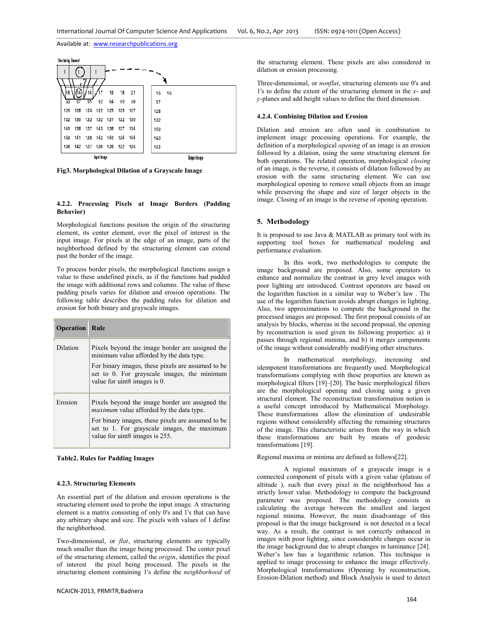

**Fig3. Morphological Dilation of a Grayscale Image**

#### **4.2.2. Processing Pixels at Image Borders (Padding Behavior)**

Morphological functions position the origin of the structuring element, its center element, over the pixel of interest in the input image. For pixels at the edge of an image, parts of the neighborhood defined by the structuring element can extend past the border of the image.

To process border pixels, the morphological functions assign a value to these undefined pixels, as if the functions had padded the image with additional rows and columns. The value of these padding pixels varies for dilation and erosion operations. The following table describes the padding rules for dilation and erosion for both binary and grayscale images.

| <b>Operation</b> | Rule                                                                                                                                                                                                                                     |
|------------------|------------------------------------------------------------------------------------------------------------------------------------------------------------------------------------------------------------------------------------------|
| <b>Dilation</b>  | Pixels beyond the image border are assigned the<br>minimum value afforded by the data type.<br>For binary images, these pixels are assumed to be<br>set to 0. For grayscale images, the minimum<br>value for uint8 images is 0.          |
| Erosion          | Pixels beyond the image border are assigned the<br><i>maximum</i> value afforded by the data type.<br>For binary images, these pixels are assumed to be<br>set to 1. For grayscale images, the maximum<br>value for uint8 images is 255. |

**Table2. Rules for Padding Images**

#### **4.2.3. Structuring Elements**

An essential part of the dilation and erosion operations is the structuring element used to probe the input image. A structuring element is a matrix consisting of only 0's and 1's that can have any arbitrary shape and size. The pixels with values of 1 define the neighborhood.

Two-dimensional, or *flat*, structuring elements are typically much smaller than the image being processed. The center pixel of the structuring element, called the *origin*, identifies the pixel of interest the pixel being processed. The pixels in the structuring element containing 1's define the *neighborhood* of the structuring element. These pixels are also considered in dilation or erosion processing.

Three-dimensional, or *nonflat*, structuring elements use 0's and 1's to define the extent of the structuring element in the *x*- and *y*-planes and add height values to define the third dimension.

#### **4.2.4. Combining Dilation and Erosion**

Dilation and erosion are often used in combination to implement image processing operations. For example, the definition of a morphological *opening* of an image is an erosion followed by a dilation, using the same structuring element for both operations. The related operation, morphological *closing* of an image, is the reverse, it consists of dilation followed by an erosion with the same structuring element. We can use morphological opening to remove small objects from an image while preserving the shape and size of larger objects in the image. Closing of an image is the reverse of opening operation.

## **5. Methodology**

It is proposed to use Java & MATLAB as primary tool with its supporting tool boxes for mathematical modeling and performance evaluation.

 In this work, two methodologies to compute the image background are proposed. Also, some operators to enhance and normalize the contrast in grey level images with poor lighting are introduced. Contrast operators are based on the logarithm function in a similar way to Weber's law . The use of the logarithm function avoids abrupt changes in lighting. Also, two approximations to compute the background in the processed images are proposed. The first proposal consists of an analysis by blocks, whereas in the second proposal, the opening by reconstruction is used given its following properties: a) it passes through regional minima, and b) it merges components of the image without considerably modifying other structures.

 In mathematical morphology, increasing and idempotent transformations are frequently used. Morphological transformations complying with these properties are known as morphological filters [19]–[20]. The basic morphological filters are the morphological opening and closing using a given structural element. The reconstruction transformation notion is a useful concept introduced by Mathematical Morphology. These transformations allow the elimination of undesirable regions without considerably affecting the remaining structures of the image. This characteristic arises from the way in which these transformations are built by means of geodesic transformations [19].

Regional maxima or minima are defined as follows[22].

 A regional maximum of a grayscale image is a connected component of pixels with a given value (plateau of altitude ), such that every pixel in the neighborhood has a strictly lower value. Methodology to compute the background parameter was proposed. The methodology consists in calculating the average between the smallest and largest regional minima. However, the main disadvantage of this proposal is that the image background is not detected in a local way. As a result, the contrast is not correctly enhanced in images with poor lighting, since considerable changes occur in the image background due to abrupt changes in luminance [24]. Weber's law has a logarithmic relation. This technique is applied to image processing to enhance the image effectively. Morphological transformations (Opening by reconstruction, Erosion-Dilation method) and Block Analysis is used to detect